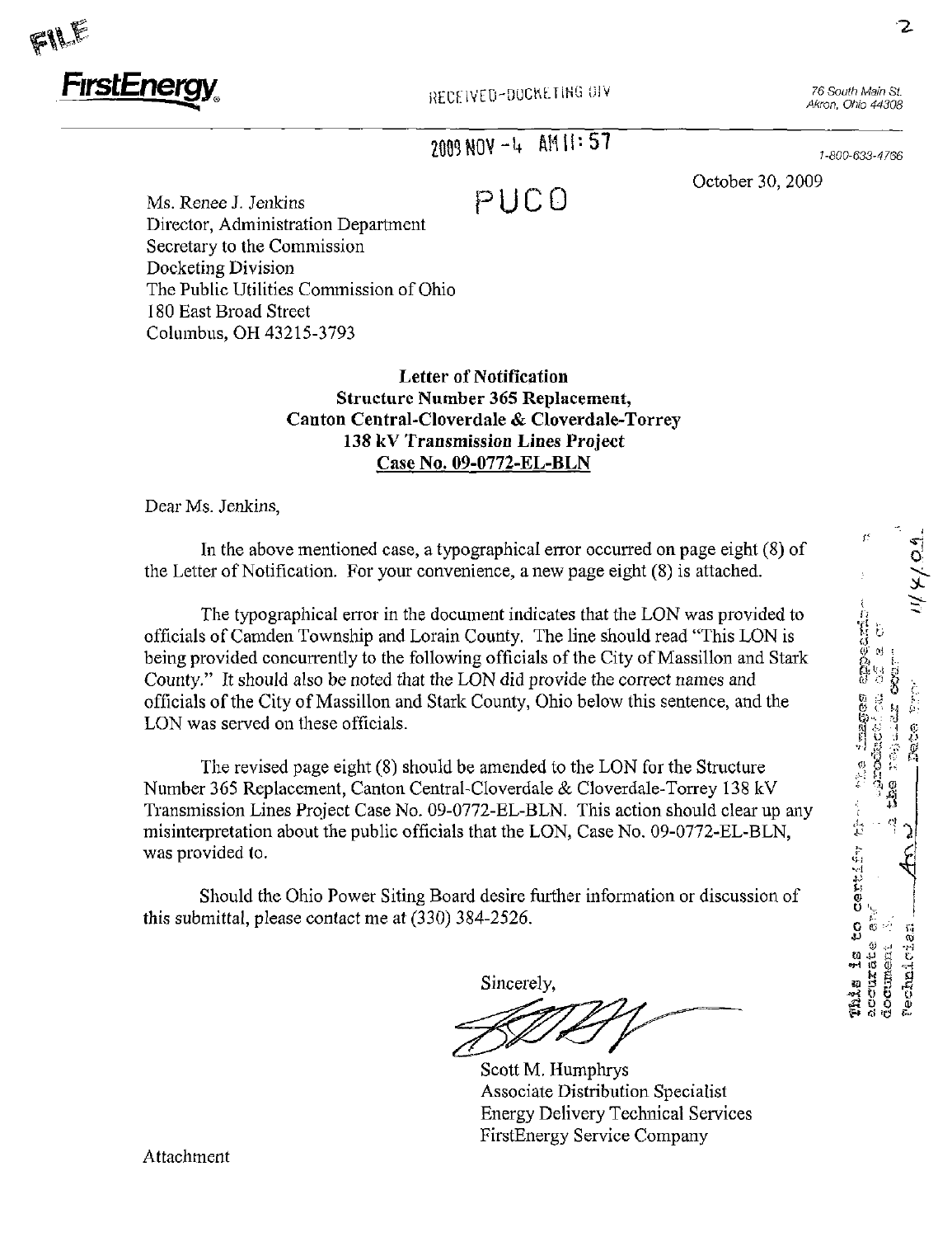

Akron, Ohio 44308

# $2009 NOV - 4$   $\overline{AM11:57}$

1-800-633-4766

October 30, 2009

Ms. Renee J. Jenkins  $P \cup C O$ Director, Administration Department Secretary to the Commission Docketing Division The Public Utilities Commission of Ohio 180 East Broad Street Columbus, OH 43215-3793

#### Letter of Notification Structure Number 365 Replacement, Canton Central-Cloverdale & Cloverdale-Torrey 138 kV Transmission Lines Project Case No. 09-0772-EL-BLN

Dear Ms. Jenkins,

In the above mentioned case, a typographical error occurred on page eight (8) of the Letter of Notification. For your convenience, a new page eight (8) is attached.

The typographical error in the document indicates that the LON was provided to officials of Camden Township and Lorain County. The line should read "This LON is being provided concurrently to the following officials of the City of Massillon and Stark County." It should also be noted that the LON did provide the correct names and officials of the City of Massillon and Stark County, Ohio below this sentence, and the

LON was served on these officials.<br>The revised page eight (8) should be amended to the LON for the Structure<br>Number 365 Benlocement, Canton Central Cloyerdale & Cloyerdale Torrey 138 kM The revised page eight  $(8)$  should be amended to the LON for the Structure Number 365 Replacement, Canton Central-Cloverdale & Cloverdale-Torrey 138 kV Transmission Lines Project Case No. 09-0772-EL-BLN. This action should clear up any misinterpretation about the public officials that the LON, Case No. 09-0772-EL-BLN, was provided to.

this submittal, please contact me at (330) 384-2526. Should the Ohio Power Siting Board desire further information or discussion of

Sincerely, ^ P B M

Scott M. Humphrys Associate Distribution Specialist Energy Delivery Technical Services FirstEnergy Service Company

Attachment

 $\chi$ 

o

 $\bar{\mathfrak{G}}$   $\subset$   $\mathfrak{H}$  $\cdot$  $J \gg \frac{1}{2}$ 

^

ពី ដូ

ŏ.

^ 1 i d CO -i-i

^ O O Oi